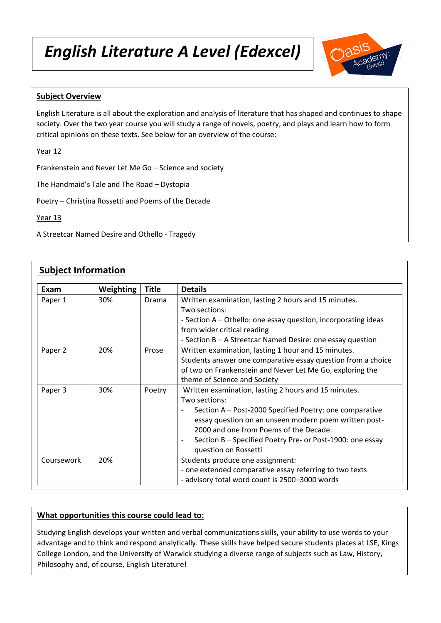# *English Literature A Level (Edexcel)*



## **Subject Overview**

English Literature is all about the exploration and analysis of literature that has shaped and continues to shape society. Over the two year course you will study a range of novels, poetry, and plays and learn how to form critical opinions on these texts. See below for an overview of the course:

Year 12

Frankenstein and Never Let Me Go – Science and society

The Handmaid's Tale and The Road – Dystopia

Poetry – Christina Rossetti and Poems of the Decade

Year 13

A Streetcar Named Desire and Othello - Tragedy

# **Subject Information**

| Exam       | Weighting | <b>Title</b> | <b>Details</b>                                                                                                                                                                                                                                                                                                           |
|------------|-----------|--------------|--------------------------------------------------------------------------------------------------------------------------------------------------------------------------------------------------------------------------------------------------------------------------------------------------------------------------|
| Paper 1    | 30%       | Drama        | Written examination, lasting 2 hours and 15 minutes.<br>Two sections:<br>- Section A – Othello: one essay question, incorporating ideas<br>from wider critical reading<br>- Section B – A Streetcar Named Desire: one essay question                                                                                     |
| Paper 2    | 20%       | Prose        | Written examination, lasting 1 hour and 15 minutes.<br>Students answer one comparative essay question from a choice<br>of two on Frankenstein and Never Let Me Go, exploring the<br>theme of Science and Society                                                                                                         |
| Paper 3    | 30%       | Poetry       | Written examination, lasting 2 hours and 15 minutes.<br>Two sections:<br>Section A - Post-2000 Specified Poetry: one comparative<br>essay question on an unseen modern poem written post-<br>2000 and one from Poems of the Decade.<br>Section B - Specified Poetry Pre- or Post-1900: one essay<br>question on Rossetti |
| Coursework | 20%       |              | Students produce one assignment:<br>- one extended comparative essay referring to two texts<br>- advisory total word count is 2500-3000 words                                                                                                                                                                            |

#### **What opportunities this course could lead to:**

Studying English develops your written and verbal communications skills, your ability to use words to your advantage and to think and respond analytically. These skills have helped secure students places at LSE, Kings College London, and the University of Warwick studying a diverse range of subjects such as Law, History, Philosophy and, of course, English Literature!